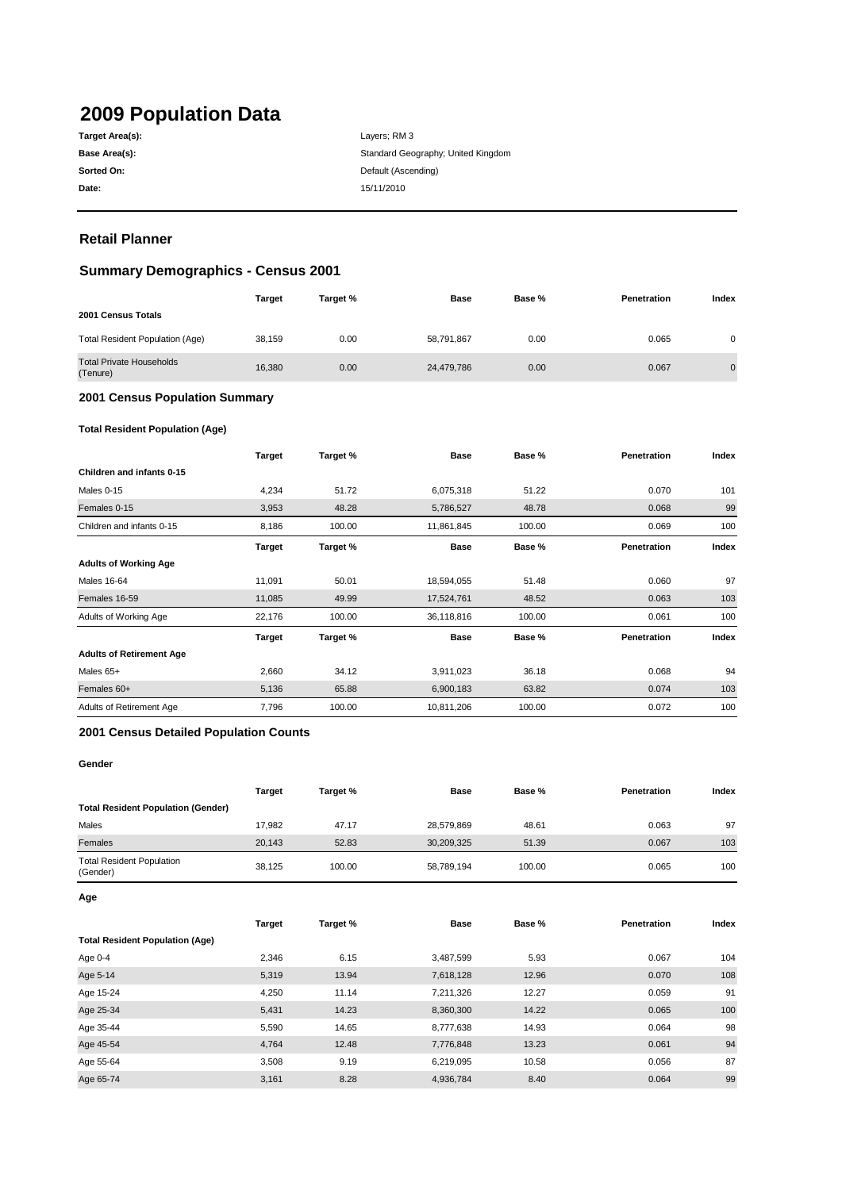# **2009 Population Data**

| Target Area(s): |
|-----------------|
| Base Area(s):   |
| Sorted On:      |
| Date:           |

**Date:** 15/11/2010 Layers; RM 3 Standard Geography; United Kingdom **Default (Ascending)** 

# **Retail Planner**

# **Summary Demographics - Census 2001**

|                                             | <b>Target</b> | Target % | <b>Base</b> | Base % | Penetration | Index          |
|---------------------------------------------|---------------|----------|-------------|--------|-------------|----------------|
| 2001 Census Totals                          |               |          |             |        |             |                |
| Total Resident Population (Age)             | 38.159        | 0.00     | 58,791,867  | 0.00   | 0.065       | 0              |
| <b>Total Private Households</b><br>(Tenure) | 16,380        | 0.00     | 24,479,786  | 0.00   | 0.067       | $\overline{0}$ |

### **2001 Census Population Summary**

#### **Total Resident Population (Age)**

|                                 | <b>Target</b> | Target % | <b>Base</b> | Base % | Penetration | Index |
|---------------------------------|---------------|----------|-------------|--------|-------------|-------|
| Children and infants 0-15       |               |          |             |        |             |       |
| Males 0-15                      | 4,234         | 51.72    | 6,075,318   | 51.22  | 0.070       | 101   |
| Females 0-15                    | 3,953         | 48.28    | 5,786,527   | 48.78  | 0.068       | 99    |
| Children and infants 0-15       | 8,186         | 100.00   | 11,861,845  | 100.00 | 0.069       | 100   |
|                                 | <b>Target</b> | Target % | <b>Base</b> | Base % | Penetration | Index |
| <b>Adults of Working Age</b>    |               |          |             |        |             |       |
| <b>Males 16-64</b>              | 11,091        | 50.01    | 18,594,055  | 51.48  | 0.060       | 97    |
| Females 16-59                   | 11,085        | 49.99    | 17,524,761  | 48.52  | 0.063       | 103   |
| Adults of Working Age           | 22,176        | 100.00   | 36,118,816  | 100.00 | 0.061       | 100   |
|                                 | Target        | Target % | <b>Base</b> | Base % | Penetration | Index |
| <b>Adults of Retirement Age</b> |               |          |             |        |             |       |
| Males 65+                       | 2,660         | 34.12    | 3,911,023   | 36.18  | 0.068       | 94    |
| Females 60+                     | 5,136         | 65.88    | 6,900,183   | 63.82  | 0.074       | 103   |
| Adults of Retirement Age        | 7,796         | 100.00   | 10,811,206  | 100.00 | 0.072       | 100   |

#### **2001 Census Detailed Population Counts**

#### **Gender**

|                                              | <b>Target</b> | Target % | Base       | Base % | <b>Penetration</b> | Index |
|----------------------------------------------|---------------|----------|------------|--------|--------------------|-------|
| <b>Total Resident Population (Gender)</b>    |               |          |            |        |                    |       |
| Males                                        | 17.982        | 47.17    | 28,579,869 | 48.61  | 0.063              | 97    |
| Females                                      | 20.143        | 52.83    | 30,209,325 | 51.39  | 0.067              | 103   |
| <b>Total Resident Population</b><br>(Gender) | 38.125        | 100.00   | 58,789,194 | 100.00 | 0.065              | 100   |

**Age**

|                                        | <b>Target</b> | Target % | <b>Base</b> | Base % | Penetration | Index |
|----------------------------------------|---------------|----------|-------------|--------|-------------|-------|
| <b>Total Resident Population (Age)</b> |               |          |             |        |             |       |
| Age 0-4                                | 2,346         | 6.15     | 3,487,599   | 5.93   | 0.067       | 104   |
| Age 5-14                               | 5,319         | 13.94    | 7,618,128   | 12.96  | 0.070       | 108   |
| Age 15-24                              | 4,250         | 11.14    | 7,211,326   | 12.27  | 0.059       | 91    |
| Age 25-34                              | 5,431         | 14.23    | 8,360,300   | 14.22  | 0.065       | 100   |
| Age 35-44                              | 5,590         | 14.65    | 8,777,638   | 14.93  | 0.064       | 98    |
| Age 45-54                              | 4,764         | 12.48    | 7,776,848   | 13.23  | 0.061       | 94    |
| Age 55-64                              | 3,508         | 9.19     | 6,219,095   | 10.58  | 0.056       | 87    |
| Age 65-74                              | 3,161         | 8.28     | 4,936,784   | 8.40   | 0.064       | 99    |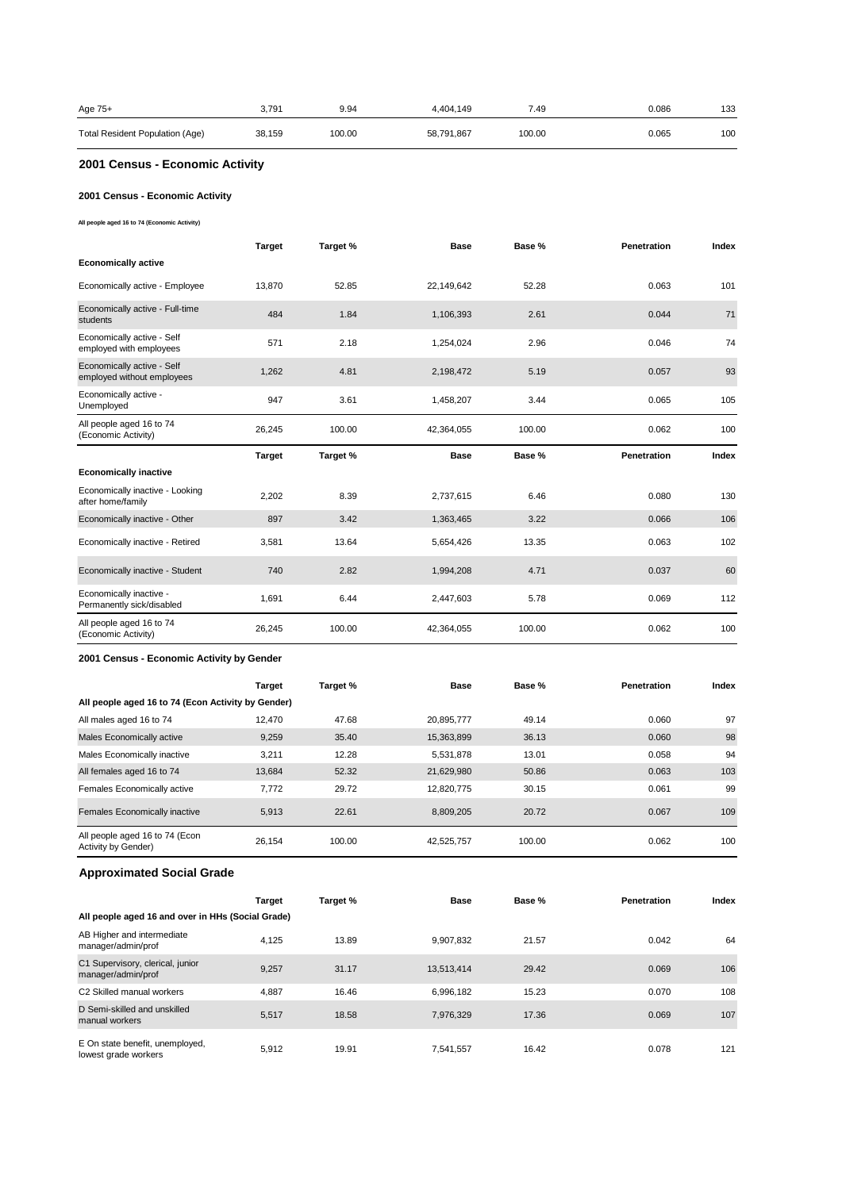| Age 75+                         | 3.791  | 9.94   | 4.404.149  | 7.49   | 0.086 | 133 |
|---------------------------------|--------|--------|------------|--------|-------|-----|
| Total Resident Population (Age) | 38,159 | 100.00 | 58,791,867 | 100.00 | 0.065 | 100 |

# **2001 Census - Economic Activity**

## **2001 Census - Economic Activity**

**All people aged 16 to 74 (Economic Activity)**

|                                                          | <b>Target</b> | Target % | <b>Base</b> | Base % | Penetration        | Index |
|----------------------------------------------------------|---------------|----------|-------------|--------|--------------------|-------|
| <b>Economically active</b>                               |               |          |             |        |                    |       |
| Economically active - Employee                           | 13.870        | 52.85    | 22,149,642  | 52.28  | 0.063              | 101   |
| Economically active - Full-time<br>students              | 484           | 1.84     | 1,106,393   | 2.61   | 0.044              | 71    |
| Economically active - Self<br>employed with employees    | 571           | 2.18     | 1,254,024   | 2.96   | 0.046              | 74    |
| Economically active - Self<br>employed without employees | 1,262         | 4.81     | 2,198,472   | 5.19   | 0.057              | 93    |
| Economically active -<br>Unemployed                      | 947           | 3.61     | 1,458,207   | 3.44   | 0.065              | 105   |
| All people aged 16 to 74<br>(Economic Activity)          | 26,245        | 100.00   | 42,364,055  | 100.00 | 0.062              | 100   |
|                                                          |               |          |             |        |                    |       |
|                                                          | <b>Target</b> | Target % | <b>Base</b> | Base % | <b>Penetration</b> | Index |
| <b>Economically inactive</b>                             |               |          |             |        |                    |       |
| Economically inactive - Looking<br>after home/family     | 2,202         | 8.39     | 2,737,615   | 6.46   | 0.080              | 130   |
| Economically inactive - Other                            | 897           | 3.42     | 1,363,465   | 3.22   | 0.066              | 106   |
| Economically inactive - Retired                          | 3,581         | 13.64    | 5,654,426   | 13.35  | 0.063              | 102   |
| Economically inactive - Student                          | 740           | 2.82     | 1,994,208   | 4.71   | 0.037              | 60    |
| Economically inactive -<br>Permanently sick/disabled     | 1,691         | 6.44     | 2,447,603   | 5.78   | 0.069              | 112   |

#### **2001 Census - Economic Activity by Gender**

|                                                       | <b>Target</b> | Target % | <b>Base</b> | Base % | Penetration | Index |
|-------------------------------------------------------|---------------|----------|-------------|--------|-------------|-------|
| All people aged 16 to 74 (Econ Activity by Gender)    |               |          |             |        |             |       |
| All males aged 16 to 74                               | 12.470        | 47.68    | 20,895,777  | 49.14  | 0.060       | 97    |
| Males Economically active                             | 9,259         | 35.40    | 15,363,899  | 36.13  | 0.060       | 98    |
| Males Economically inactive                           | 3.211         | 12.28    | 5,531,878   | 13.01  | 0.058       | 94    |
| All females aged 16 to 74                             | 13.684        | 52.32    | 21,629,980  | 50.86  | 0.063       | 103   |
| Females Economically active                           | 7.772         | 29.72    | 12.820.775  | 30.15  | 0.061       | 99    |
| Females Economically inactive                         | 5.913         | 22.61    | 8.809.205   | 20.72  | 0.067       | 109   |
| All people aged 16 to 74 (Econ<br>Activity by Gender) | 26.154        | 100.00   | 42,525,757  | 100.00 | 0.062       | 100   |

# **Approximated Social Grade**

|                                                         | <b>Target</b> | Target % | <b>Base</b> | Base % | <b>Penetration</b> | Index |
|---------------------------------------------------------|---------------|----------|-------------|--------|--------------------|-------|
| All people aged 16 and over in HHs (Social Grade)       |               |          |             |        |                    |       |
| AB Higher and intermediate<br>manager/admin/prof        | 4.125         | 13.89    | 9.907.832   | 21.57  | 0.042              | 64    |
| C1 Supervisory, clerical, junior<br>manager/admin/prof  | 9.257         | 31.17    | 13,513,414  | 29.42  | 0.069              | 106   |
| C2 Skilled manual workers                               | 4.887         | 16.46    | 6.996.182   | 15.23  | 0.070              | 108   |
| D Semi-skilled and unskilled<br>manual workers          | 5.517         | 18.58    | 7.976.329   | 17.36  | 0.069              | 107   |
| E On state benefit, unemployed,<br>lowest grade workers | 5.912         | 19.91    | 7.541.557   | 16.42  | 0.078              | 121   |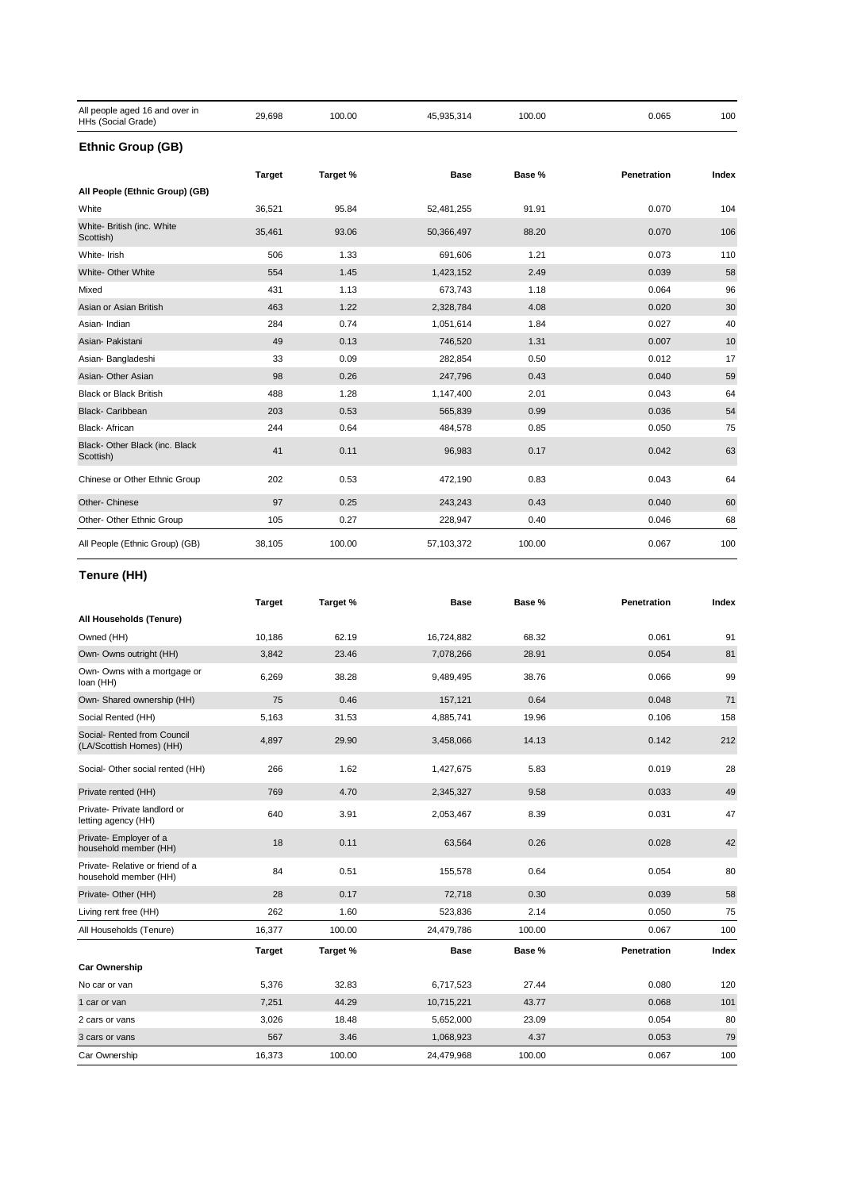| All people aged 16 and over in<br>HHs (Social Grade) | 29,698        | 100.00   | 45,935,314 | 100.00 | 0.065       | 100   |
|------------------------------------------------------|---------------|----------|------------|--------|-------------|-------|
| <b>Ethnic Group (GB)</b>                             |               |          |            |        |             |       |
|                                                      | <b>Target</b> | Target % | Base       | Base % | Penetration | Index |
| All People (Ethnic Group) (GB)                       |               |          |            |        |             |       |
| White                                                | 36,521        | 95.84    | 52,481,255 | 91.91  | 0.070       | 104   |
| White- British (inc. White<br>Scottish)              | 35,461        | 93.06    | 50,366,497 | 88.20  | 0.070       | 106   |
| White- Irish                                         | 506           | 1.33     | 691,606    | 1.21   | 0.073       | 110   |
| White- Other White                                   | 554           | 1.45     | 1,423,152  | 2.49   | 0.039       | 58    |
| Mixed                                                | 431           | 1.13     | 673,743    | 1.18   | 0.064       | 96    |
| Asian or Asian British                               | 463           | 1.22     | 2,328,784  | 4.08   | 0.020       | 30    |
| Asian-Indian                                         | 284           | 0.74     | 1,051,614  | 1.84   | 0.027       | 40    |
| Asian- Pakistani                                     | 49            | 0.13     | 746,520    | 1.31   | 0.007       | 10    |
| Asian-Bangladeshi                                    | 33            | 0.09     | 282,854    | 0.50   | 0.012       | 17    |
| Asian- Other Asian                                   | 98            | 0.26     | 247,796    | 0.43   | 0.040       | 59    |
| <b>Black or Black British</b>                        | 488           | 1.28     | 1,147,400  | 2.01   | 0.043       | 64    |
| <b>Black-Caribbean</b>                               | 203           | 0.53     | 565,839    | 0.99   | 0.036       | 54    |
| Black- African                                       | 244           | 0.64     | 484,578    | 0.85   | 0.050       | 75    |
| Black- Other Black (inc. Black<br>Scottish)          | 41            | 0.11     | 96,983     | 0.17   | 0.042       | 63    |
| Chinese or Other Ethnic Group                        | 202           | 0.53     | 472,190    | 0.83   | 0.043       | 64    |
| Other- Chinese                                       | 97            | 0.25     | 243,243    | 0.43   | 0.040       | 60    |
| Other- Other Ethnic Group                            | 105           | 0.27     | 228,947    | 0.40   | 0.046       | 68    |
| All People (Ethnic Group) (GB)                       | 38,105        | 100.00   | 57,103,372 | 100.00 | 0.067       | 100   |

# **Tenure (HH)**

|                                                          | <b>Target</b> | Target % | <b>Base</b> | Base % | Penetration | Index |
|----------------------------------------------------------|---------------|----------|-------------|--------|-------------|-------|
| All Households (Tenure)                                  |               |          |             |        |             |       |
| Owned (HH)                                               | 10.186        | 62.19    | 16,724,882  | 68.32  | 0.061       | 91    |
| Own- Owns outright (HH)                                  | 3,842         | 23.46    | 7,078,266   | 28.91  | 0.054       | 81    |
| Own- Owns with a mortgage or<br>loan (HH)                | 6,269         | 38.28    | 9,489,495   | 38.76  | 0.066       | 99    |
| Own- Shared ownership (HH)                               | 75            | 0.46     | 157,121     | 0.64   | 0.048       | 71    |
| Social Rented (HH)                                       | 5,163         | 31.53    | 4,885,741   | 19.96  | 0.106       | 158   |
| Social- Rented from Council<br>(LA/Scottish Homes) (HH)  | 4,897         | 29.90    | 3,458,066   | 14.13  | 0.142       | 212   |
| Social- Other social rented (HH)                         | 266           | 1.62     | 1,427,675   | 5.83   | 0.019       | 28    |
| Private rented (HH)                                      | 769           | 4.70     | 2,345,327   | 9.58   | 0.033       | 49    |
| Private- Private landlord or<br>letting agency (HH)      | 640           | 3.91     | 2,053,467   | 8.39   | 0.031       | 47    |
| Private- Employer of a<br>household member (HH)          | 18            | 0.11     | 63,564      | 0.26   | 0.028       | 42    |
| Private-Relative or friend of a<br>household member (HH) | 84            | 0.51     | 155,578     | 0.64   | 0.054       | 80    |
| Private- Other (HH)                                      | 28            | 0.17     | 72,718      | 0.30   | 0.039       | 58    |
| Living rent free (HH)                                    | 262           | 1.60     | 523,836     | 2.14   | 0.050       | 75    |
| All Households (Tenure)                                  | 16,377        | 100.00   | 24,479,786  | 100.00 | 0.067       | 100   |
|                                                          | <b>Target</b> | Target % | <b>Base</b> | Base % | Penetration | Index |
| <b>Car Ownership</b>                                     |               |          |             |        |             |       |
| No car or van                                            | 5,376         | 32.83    | 6,717,523   | 27.44  | 0.080       | 120   |
| 1 car or van                                             | 7,251         | 44.29    | 10,715,221  | 43.77  | 0.068       | 101   |
| 2 cars or vans                                           | 3,026         | 18.48    | 5,652,000   | 23.09  | 0.054       | 80    |
| 3 cars or vans                                           | 567           | 3.46     | 1,068,923   | 4.37   | 0.053       | 79    |
| Car Ownership                                            | 16,373        | 100.00   | 24,479,968  | 100.00 | 0.067       | 100   |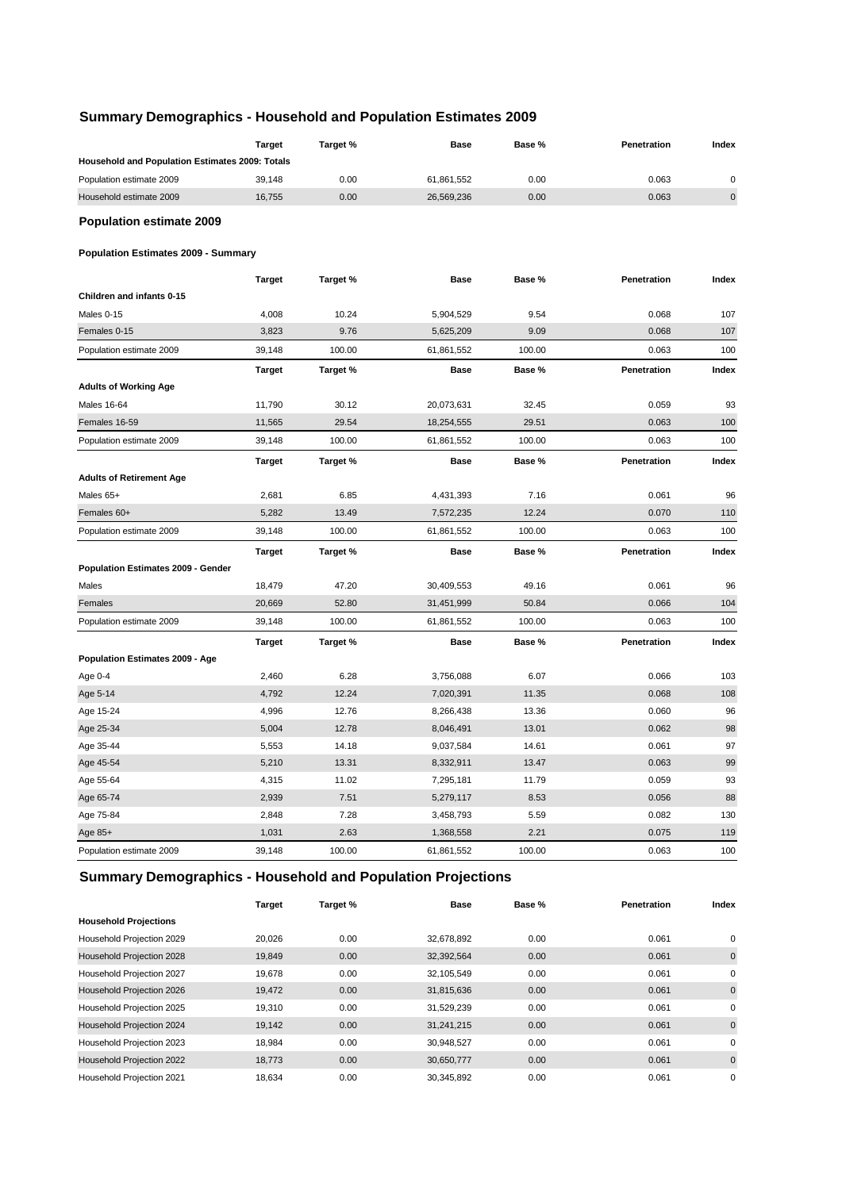# **Summary Demographics - Household and Population Estimates 2009**

|                                                 | <b>Target</b> | Target % | Base        | Base % | Penetration | Index     |
|-------------------------------------------------|---------------|----------|-------------|--------|-------------|-----------|
| Household and Population Estimates 2009: Totals |               |          |             |        |             |           |
| Population estimate 2009                        | 39,148        | 0.00     | 61,861,552  | 0.00   | 0.063       | 0         |
| Household estimate 2009                         | 16,755        | 0.00     | 26,569,236  | 0.00   | 0.063       | $\pmb{0}$ |
| <b>Population estimate 2009</b>                 |               |          |             |        |             |           |
| <b>Population Estimates 2009 - Summary</b>      |               |          |             |        |             |           |
|                                                 | <b>Target</b> | Target % | <b>Base</b> | Base % | Penetration | Index     |
| Children and infants 0-15                       |               |          |             |        |             |           |
| Males 0-15                                      | 4,008         | 10.24    | 5,904,529   | 9.54   | 0.068       | 107       |
| Females 0-15                                    | 3,823         | 9.76     | 5,625,209   | 9.09   | 0.068       | 107       |
| Population estimate 2009                        | 39,148        | 100.00   | 61,861,552  | 100.00 | 0.063       | 100       |
|                                                 | <b>Target</b> | Target % | <b>Base</b> | Base % | Penetration | Index     |
| <b>Adults of Working Age</b>                    |               |          |             |        |             |           |
| Males 16-64                                     | 11,790        | 30.12    | 20,073,631  | 32.45  | 0.059       | 93        |
| Females 16-59                                   | 11,565        | 29.54    | 18,254,555  | 29.51  | 0.063       | 100       |
| Population estimate 2009                        | 39,148        | 100.00   | 61,861,552  | 100.00 | 0.063       | 100       |
|                                                 | <b>Target</b> | Target % | <b>Base</b> | Base % | Penetration | Index     |
| <b>Adults of Retirement Age</b>                 |               |          |             |        |             |           |
| Males 65+                                       | 2,681         | 6.85     | 4,431,393   | 7.16   | 0.061       | 96        |
| Females 60+                                     | 5,282         | 13.49    | 7,572,235   | 12.24  | 0.070       | 110       |
| Population estimate 2009                        | 39,148        | 100.00   | 61,861,552  | 100.00 | 0.063       | 100       |
|                                                 | <b>Target</b> | Target % | <b>Base</b> | Base % | Penetration | Index     |
| Population Estimates 2009 - Gender              |               |          |             |        |             |           |
| Males                                           | 18,479        | 47.20    | 30,409,553  | 49.16  | 0.061       | 96        |
| Females                                         | 20,669        | 52.80    | 31,451,999  | 50.84  | 0.066       | 104       |
| Population estimate 2009                        | 39,148        | 100.00   | 61,861,552  | 100.00 | 0.063       | 100       |
|                                                 | <b>Target</b> | Target % | <b>Base</b> | Base % | Penetration | Index     |
| Population Estimates 2009 - Age                 |               |          |             |        |             |           |
| Age 0-4                                         | 2,460         | 6.28     | 3,756,088   | 6.07   | 0.066       | 103       |
| Age 5-14                                        | 4,792         | 12.24    | 7,020,391   | 11.35  | 0.068       | 108       |
| Age 15-24                                       | 4,996         | 12.76    | 8,266,438   | 13.36  | 0.060       | 96        |
| Age 25-34                                       | 5,004         | 12.78    | 8,046,491   | 13.01  | 0.062       | 98        |
| Age 35-44                                       | 5,553         | 14.18    | 9,037,584   | 14.61  | 0.061       | 97        |
| Age 45-54                                       | 5,210         | 13.31    | 8,332,911   | 13.47  | 0.063       | 99        |
| Age 55-64                                       | 4,315         | 11.02    | 7,295,181   | 11.79  | 0.059       | 93        |
| Age 65-74                                       | 2,939         | 7.51     | 5,279,117   | 8.53   | 0.056       | 88        |
| Age 75-84                                       | 2,848         | 7.28     | 3,458,793   | 5.59   | 0.082       | 130       |
| Age 85+                                         | 1,031         | 2.63     | 1,368,558   | 2.21   | 0.075       | 119       |
| Population estimate 2009                        | 39,148        | 100.00   | 61,861,552  | 100.00 | 0.063       | 100       |
|                                                 |               |          |             |        |             |           |

# **Summary Demographics - Household and Population Projections**

|                              | Target | Target % | <b>Base</b> | Base % | <b>Penetration</b> | Index       |
|------------------------------|--------|----------|-------------|--------|--------------------|-------------|
| <b>Household Projections</b> |        |          |             |        |                    |             |
| Household Projection 2029    | 20,026 | 0.00     | 32,678,892  | 0.00   | 0.061              | 0           |
| Household Projection 2028    | 19,849 | 0.00     | 32,392,564  | 0.00   | 0.061              | $\mathbf 0$ |
| Household Projection 2027    | 19.678 | 0.00     | 32,105,549  | 0.00   | 0.061              | 0           |
| Household Projection 2026    | 19,472 | 0.00     | 31,815,636  | 0.00   | 0.061              | $\mathbf 0$ |
| Household Projection 2025    | 19,310 | 0.00     | 31,529,239  | 0.00   | 0.061              | 0           |
| Household Projection 2024    | 19.142 | 0.00     | 31,241,215  | 0.00   | 0.061              | $\mathbf 0$ |
| Household Projection 2023    | 18.984 | 0.00     | 30,948,527  | 0.00   | 0.061              | 0           |
| Household Projection 2022    | 18.773 | 0.00     | 30,650,777  | 0.00   | 0.061              | $\mathbf 0$ |
| Household Projection 2021    | 18.634 | 0.00     | 30,345,892  | 0.00   | 0.061              | 0           |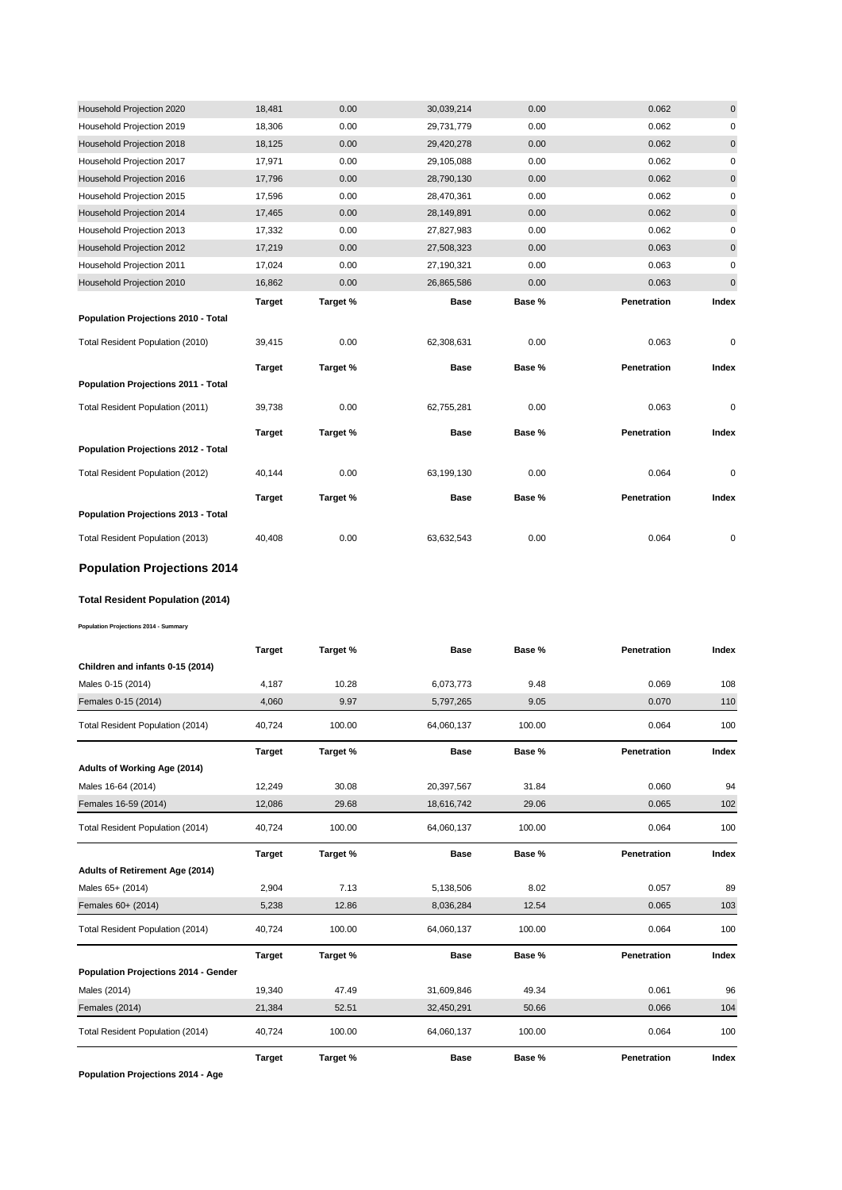| Household Projection 2020           | 18,481        | 0.00     | 30,039,214  | 0.00   | 0.062       | $\mathbf 0$ |
|-------------------------------------|---------------|----------|-------------|--------|-------------|-------------|
| Household Projection 2019           | 18,306        | 0.00     | 29,731,779  | 0.00   | 0.062       | 0           |
| Household Projection 2018           | 18,125        | 0.00     | 29,420,278  | 0.00   | 0.062       | $\pmb{0}$   |
| Household Projection 2017           | 17,971        | 0.00     | 29,105,088  | 0.00   | 0.062       | 0           |
| Household Projection 2016           | 17,796        | 0.00     | 28,790,130  | 0.00   | 0.062       | $\mathbf 0$ |
| Household Projection 2015           | 17,596        | 0.00     | 28,470,361  | 0.00   | 0.062       | $\mathbf 0$ |
| Household Projection 2014           | 17,465        | 0.00     | 28,149,891  | 0.00   | 0.062       | 0           |
| Household Projection 2013           | 17,332        | 0.00     | 27,827,983  | 0.00   | 0.062       | 0           |
| Household Projection 2012           | 17,219        | 0.00     | 27,508,323  | 0.00   | 0.063       | 0           |
| Household Projection 2011           | 17,024        | 0.00     | 27,190,321  | 0.00   | 0.063       | 0           |
| Household Projection 2010           | 16,862        | 0.00     | 26,865,586  | 0.00   | 0.063       | 0           |
|                                     | <b>Target</b> | Target % | <b>Base</b> | Base % | Penetration | Index       |
| Population Projections 2010 - Total |               |          |             |        |             |             |
|                                     |               |          |             |        |             |             |
| Total Resident Population (2010)    | 39,415        | 0.00     | 62,308,631  | 0.00   | 0.063       | 0           |
|                                     | <b>Target</b> | Target % | Base        | Base % | Penetration | Index       |
| Population Projections 2011 - Total |               |          |             |        |             |             |
| Total Resident Population (2011)    | 39,738        | 0.00     | 62,755,281  | 0.00   | 0.063       | 0           |
|                                     | <b>Target</b> | Target % | <b>Base</b> | Base % | Penetration | Index       |
| Population Projections 2012 - Total |               |          |             |        |             |             |
| Total Resident Population (2012)    | 40,144        | 0.00     | 63,199,130  | 0.00   | 0.064       | 0           |
|                                     | <b>Target</b> | Target % | <b>Base</b> | Base % | Penetration | Index       |
| Population Projections 2013 - Total |               |          |             |        |             |             |

# **Population Projections 2014**

#### **Total Resident Population (2014)**

**Population Projections 2014 - Summary**

|                                      | <b>Target</b> | Target % | <b>Base</b> | Base % | Penetration | Index |
|--------------------------------------|---------------|----------|-------------|--------|-------------|-------|
| Children and infants 0-15 (2014)     |               |          |             |        |             |       |
| Males 0-15 (2014)                    | 4,187         | 10.28    | 6,073,773   | 9.48   | 0.069       | 108   |
| Females 0-15 (2014)                  | 4,060         | 9.97     | 5,797,265   | 9.05   | 0.070       | 110   |
| Total Resident Population (2014)     | 40,724        | 100.00   | 64,060,137  | 100.00 | 0.064       | 100   |
|                                      | <b>Target</b> | Target % | <b>Base</b> | Base % | Penetration | Index |
| Adults of Working Age (2014)         |               |          |             |        |             |       |
| Males 16-64 (2014)                   | 12,249        | 30.08    | 20,397,567  | 31.84  | 0.060       | 94    |
| Females 16-59 (2014)                 | 12,086        | 29.68    | 18,616,742  | 29.06  | 0.065       | 102   |
| Total Resident Population (2014)     | 40,724        | 100.00   | 64,060,137  | 100.00 | 0.064       | 100   |
|                                      | <b>Target</b> | Target % | <b>Base</b> | Base % | Penetration | Index |
| Adults of Retirement Age (2014)      |               |          |             |        |             |       |
| Males 65+ (2014)                     | 2,904         | 7.13     | 5,138,506   | 8.02   | 0.057       | 89    |
| Females 60+ (2014)                   | 5,238         | 12.86    | 8,036,284   | 12.54  | 0.065       | 103   |
| Total Resident Population (2014)     | 40,724        | 100.00   | 64,060,137  | 100.00 | 0.064       | 100   |
|                                      | <b>Target</b> | Target % | <b>Base</b> | Base % | Penetration | Index |
| Population Projections 2014 - Gender |               |          |             |        |             |       |
| Males (2014)                         | 19,340        | 47.49    | 31,609,846  | 49.34  | 0.061       | 96    |
| Females (2014)                       | 21,384        | 52.51    | 32,450,291  | 50.66  | 0.066       | 104   |
| Total Resident Population (2014)     | 40,724        | 100.00   | 64,060,137  | 100.00 | 0.064       | 100   |
|                                      | <b>Target</b> | Target % | <b>Base</b> | Base % | Penetration | Index |

**Population Projections 2014 - Age**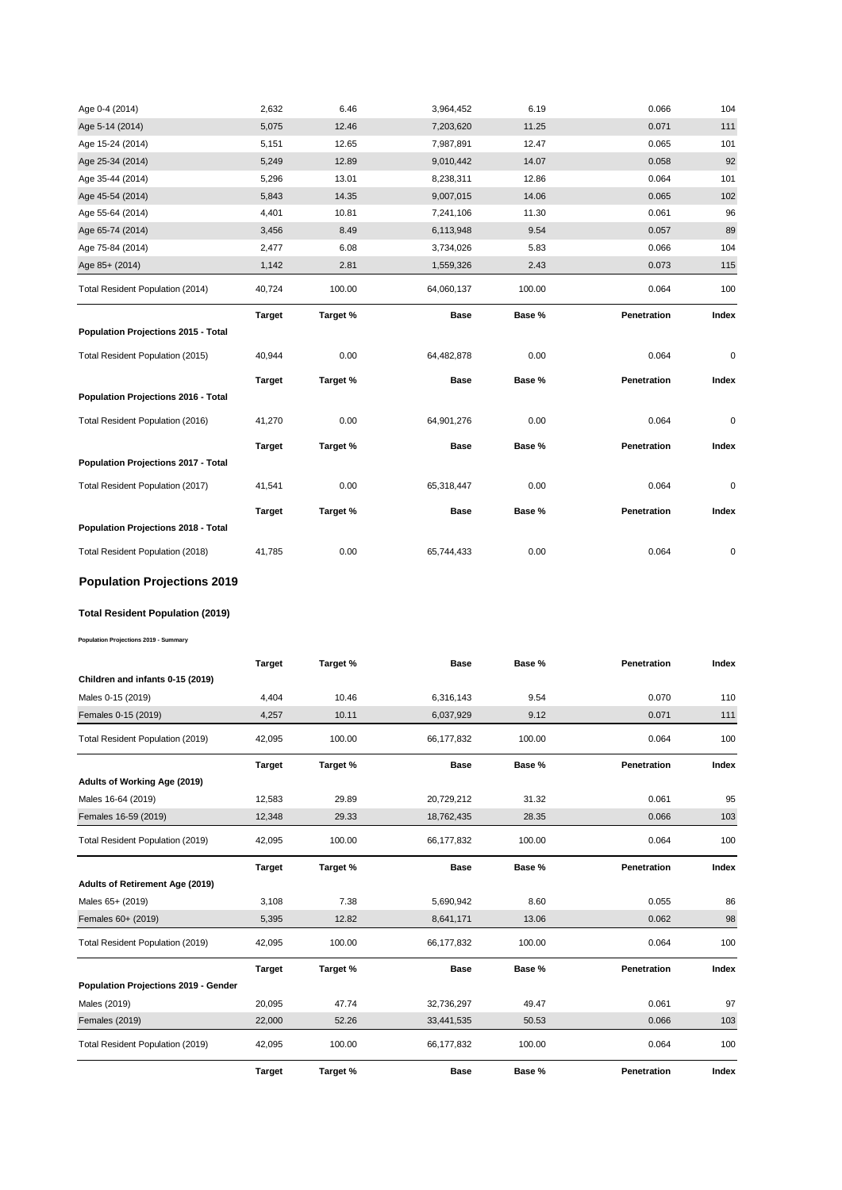| Age 0-4 (2014)                      | 2,632         | 6.46     | 3,964,452   | 6.19   | 0.066       | 104       |
|-------------------------------------|---------------|----------|-------------|--------|-------------|-----------|
| Age 5-14 (2014)                     | 5,075         | 12.46    | 7,203,620   | 11.25  | 0.071       | 111       |
| Age 15-24 (2014)                    | 5,151         | 12.65    | 7,987,891   | 12.47  | 0.065       | 101       |
| Age 25-34 (2014)                    | 5,249         | 12.89    | 9,010,442   | 14.07  | 0.058       | 92        |
| Age 35-44 (2014)                    | 5,296         | 13.01    | 8,238,311   | 12.86  | 0.064       | 101       |
| Age 45-54 (2014)                    | 5,843         | 14.35    | 9,007,015   | 14.06  | 0.065       | 102       |
| Age 55-64 (2014)                    | 4,401         | 10.81    | 7,241,106   | 11.30  | 0.061       | 96        |
| Age 65-74 (2014)                    | 3,456         | 8.49     | 6,113,948   | 9.54   | 0.057       | 89        |
| Age 75-84 (2014)                    | 2,477         | 6.08     | 3,734,026   | 5.83   | 0.066       | 104       |
| Age 85+ (2014)                      | 1,142         | 2.81     | 1,559,326   | 2.43   | 0.073       | 115       |
| Total Resident Population (2014)    | 40,724        | 100.00   | 64,060,137  | 100.00 | 0.064       | 100       |
|                                     | <b>Target</b> | Target % | <b>Base</b> | Base % | Penetration | Index     |
| Population Projections 2015 - Total |               |          |             |        |             |           |
| Total Resident Population (2015)    | 40,944        | 0.00     | 64,482,878  | 0.00   | 0.064       | $\pmb{0}$ |
|                                     | <b>Target</b> | Target % | <b>Base</b> | Base % | Penetration | Index     |
| Population Projections 2016 - Total |               |          |             |        |             |           |
|                                     |               |          |             |        |             |           |
| Total Resident Population (2016)    | 41,270        | 0.00     | 64,901,276  | 0.00   | 0.064       | 0         |
|                                     | <b>Target</b> | Target % | <b>Base</b> | Base % | Penetration | Index     |
| Population Projections 2017 - Total |               |          |             |        |             |           |
| Total Resident Population (2017)    | 41,541        | 0.00     | 65,318,447  | 0.00   | 0.064       | 0         |
|                                     | <b>Target</b> | Target % | <b>Base</b> | Base % | Penetration | Index     |
| Population Projections 2018 - Total |               |          |             |        |             |           |

# **Population Projections 2019**

# **Total Resident Population (2019)**

**Population Projections 2019 - Summary**

|                                      | <b>Target</b> | Target % | <b>Base</b> | Base % | Penetration | Index |
|--------------------------------------|---------------|----------|-------------|--------|-------------|-------|
| Children and infants 0-15 (2019)     |               |          |             |        |             |       |
| Males 0-15 (2019)                    | 4.404         | 10.46    | 6,316,143   | 9.54   | 0.070       | 110   |
| Females 0-15 (2019)                  | 4,257         | 10.11    | 6,037,929   | 9.12   | 0.071       | 111   |
| Total Resident Population (2019)     | 42,095        | 100.00   | 66,177,832  | 100.00 | 0.064       | 100   |
|                                      | <b>Target</b> | Target % | <b>Base</b> | Base % | Penetration | Index |
| Adults of Working Age (2019)         |               |          |             |        |             |       |
| Males 16-64 (2019)                   | 12,583        | 29.89    | 20,729,212  | 31.32  | 0.061       | 95    |
| Females 16-59 (2019)                 | 12,348        | 29.33    | 18,762,435  | 28.35  | 0.066       | 103   |
| Total Resident Population (2019)     | 42,095        | 100.00   | 66,177,832  | 100.00 | 0.064       | 100   |
|                                      | <b>Target</b> | Target % | <b>Base</b> | Base % | Penetration | Index |
| Adults of Retirement Age (2019)      |               |          |             |        |             |       |
| Males 65+ (2019)                     | 3,108         | 7.38     | 5,690,942   | 8.60   | 0.055       | 86    |
| Females 60+ (2019)                   | 5,395         | 12.82    | 8,641,171   | 13.06  | 0.062       | 98    |
| Total Resident Population (2019)     | 42,095        | 100.00   | 66,177,832  | 100.00 | 0.064       | 100   |
|                                      | <b>Target</b> | Target % | <b>Base</b> | Base % | Penetration | Index |
| Population Projections 2019 - Gender |               |          |             |        |             |       |
| Males (2019)                         | 20,095        | 47.74    | 32,736,297  | 49.47  | 0.061       | 97    |
| <b>Females (2019)</b>                | 22,000        | 52.26    | 33,441,535  | 50.53  | 0.066       | 103   |
| Total Resident Population (2019)     | 42,095        | 100.00   | 66,177,832  | 100.00 | 0.064       | 100   |
|                                      | <b>Target</b> | Target % | <b>Base</b> | Base % | Penetration | Index |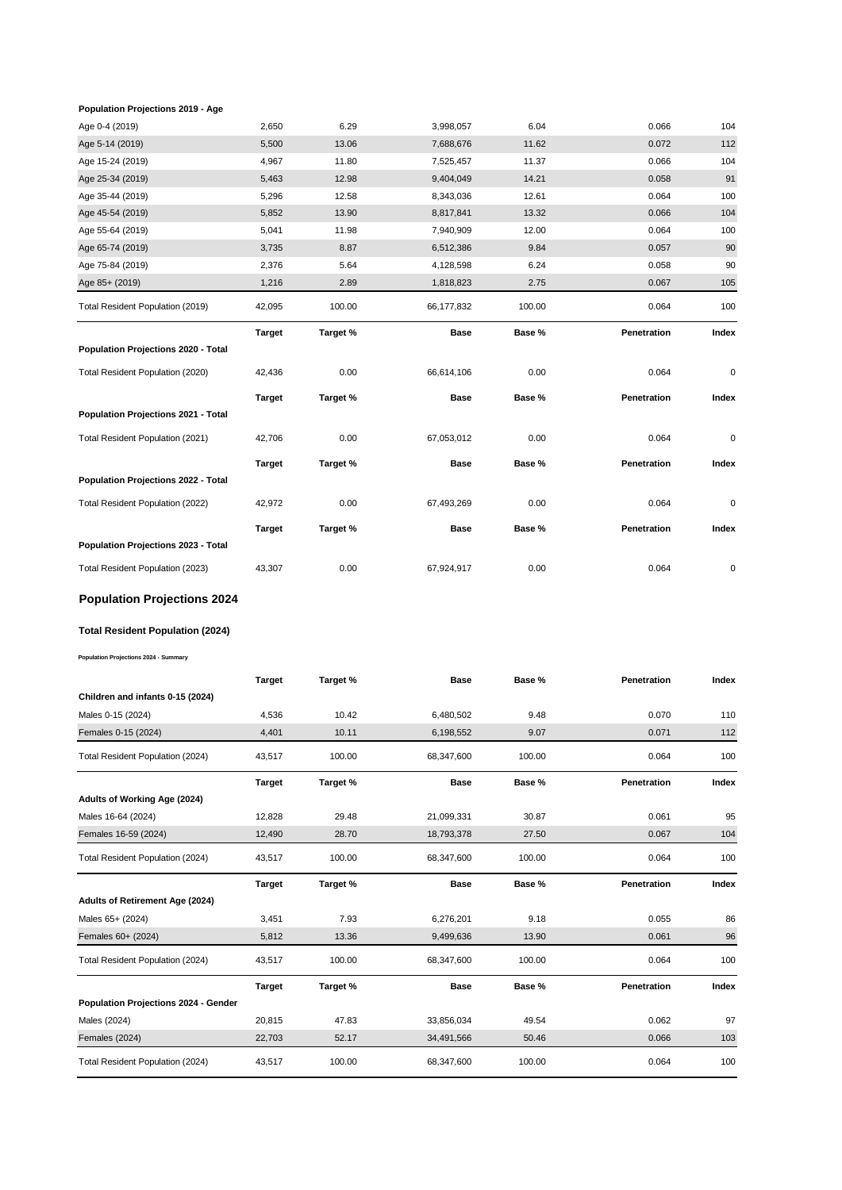#### **Population Projections 2019 - Age**

| Age 0-4 (2019)                      | 2,650         | 6.29     | 3,998,057   | 6.04   | 0.066       | 104       |
|-------------------------------------|---------------|----------|-------------|--------|-------------|-----------|
| Age 5-14 (2019)                     | 5,500         | 13.06    | 7,688,676   | 11.62  | 0.072       | 112       |
| Age 15-24 (2019)                    | 4,967         | 11.80    | 7,525,457   | 11.37  | 0.066       | 104       |
| Age 25-34 (2019)                    | 5,463         | 12.98    | 9,404,049   | 14.21  | 0.058       | 91        |
| Age 35-44 (2019)                    | 5,296         | 12.58    | 8,343,036   | 12.61  | 0.064       | 100       |
| Age 45-54 (2019)                    | 5,852         | 13.90    | 8,817,841   | 13.32  | 0.066       | 104       |
| Age 55-64 (2019)                    | 5,041         | 11.98    | 7,940,909   | 12.00  | 0.064       | 100       |
| Age 65-74 (2019)                    | 3,735         | 8.87     | 6,512,386   | 9.84   | 0.057       | 90        |
| Age 75-84 (2019)                    | 2,376         | 5.64     | 4,128,598   | 6.24   | 0.058       | 90        |
| Age 85+ (2019)                      | 1,216         | 2.89     | 1,818,823   | 2.75   | 0.067       | 105       |
| Total Resident Population (2019)    | 42,095        | 100.00   | 66,177,832  | 100.00 | 0.064       | 100       |
|                                     | <b>Target</b> | Target % | <b>Base</b> | Base % | Penetration | Index     |
| Population Projections 2020 - Total |               |          |             |        |             |           |
| Total Resident Population (2020)    | 42,436        | 0.00     | 66,614,106  | 0.00   | 0.064       | $\pmb{0}$ |
|                                     | <b>Target</b> | Target % | <b>Base</b> | Base % | Penetration | Index     |
| Population Projections 2021 - Total |               |          |             |        |             |           |
| Total Resident Population (2021)    | 42,706        | 0.00     | 67,053,012  | 0.00   | 0.064       | $\pmb{0}$ |
|                                     | <b>Target</b> | Target % | Base        | Base % | Penetration | Index     |
| Population Projections 2022 - Total |               |          |             |        |             |           |
| Total Resident Population (2022)    | 42,972        | 0.00     | 67,493,269  | 0.00   | 0.064       | $\pmb{0}$ |
|                                     | <b>Target</b> | Target % | <b>Base</b> | Base % | Penetration | Index     |
| Population Projections 2023 - Total |               |          |             |        |             |           |
| Total Resident Population (2023)    | 43,307        | 0.00     | 67,924,917  | 0.00   | 0.064       | 0         |
| <b>Population Projections 2024</b>  |               |          |             |        |             |           |
|                                     |               |          |             |        |             |           |

#### **Total Resident Population (2024)**

**Population Projections 2024 - Summary**

|                                      | <b>Target</b> | Target % | <b>Base</b> | Base % | Penetration | Index |
|--------------------------------------|---------------|----------|-------------|--------|-------------|-------|
| Children and infants 0-15 (2024)     |               |          |             |        |             |       |
| Males 0-15 (2024)                    | 4,536         | 10.42    | 6,480,502   | 9.48   | 0.070       | 110   |
| Females 0-15 (2024)                  | 4,401         | 10.11    | 6,198,552   | 9.07   | 0.071       | 112   |
| Total Resident Population (2024)     | 43,517        | 100.00   | 68,347,600  | 100.00 | 0.064       | 100   |
|                                      | <b>Target</b> | Target % | <b>Base</b> | Base % | Penetration | Index |
| Adults of Working Age (2024)         |               |          |             |        |             |       |
| Males 16-64 (2024)                   | 12,828        | 29.48    | 21,099,331  | 30.87  | 0.061       | 95    |
| Females 16-59 (2024)                 | 12,490        | 28.70    | 18,793,378  | 27.50  | 0.067       | 104   |
| Total Resident Population (2024)     | 43,517        | 100.00   | 68,347,600  | 100.00 | 0.064       | 100   |
|                                      |               |          |             |        |             |       |
|                                      | <b>Target</b> | Target % | <b>Base</b> | Base % | Penetration | Index |
| Adults of Retirement Age (2024)      |               |          |             |        |             |       |
| Males 65+ (2024)                     | 3,451         | 7.93     | 6,276,201   | 9.18   | 0.055       | 86    |
| Females 60+ (2024)                   | 5,812         | 13.36    | 9,499,636   | 13.90  | 0.061       | 96    |
| Total Resident Population (2024)     | 43,517        | 100.00   | 68,347,600  | 100.00 | 0.064       | 100   |
|                                      | <b>Target</b> | Target % | <b>Base</b> | Base % | Penetration | Index |
| Population Projections 2024 - Gender |               |          |             |        |             |       |
| Males (2024)                         | 20,815        | 47.83    | 33,856,034  | 49.54  | 0.062       | 97    |
| Females (2024)                       | 22,703        | 52.17    | 34,491,566  | 50.46  | 0.066       | 103   |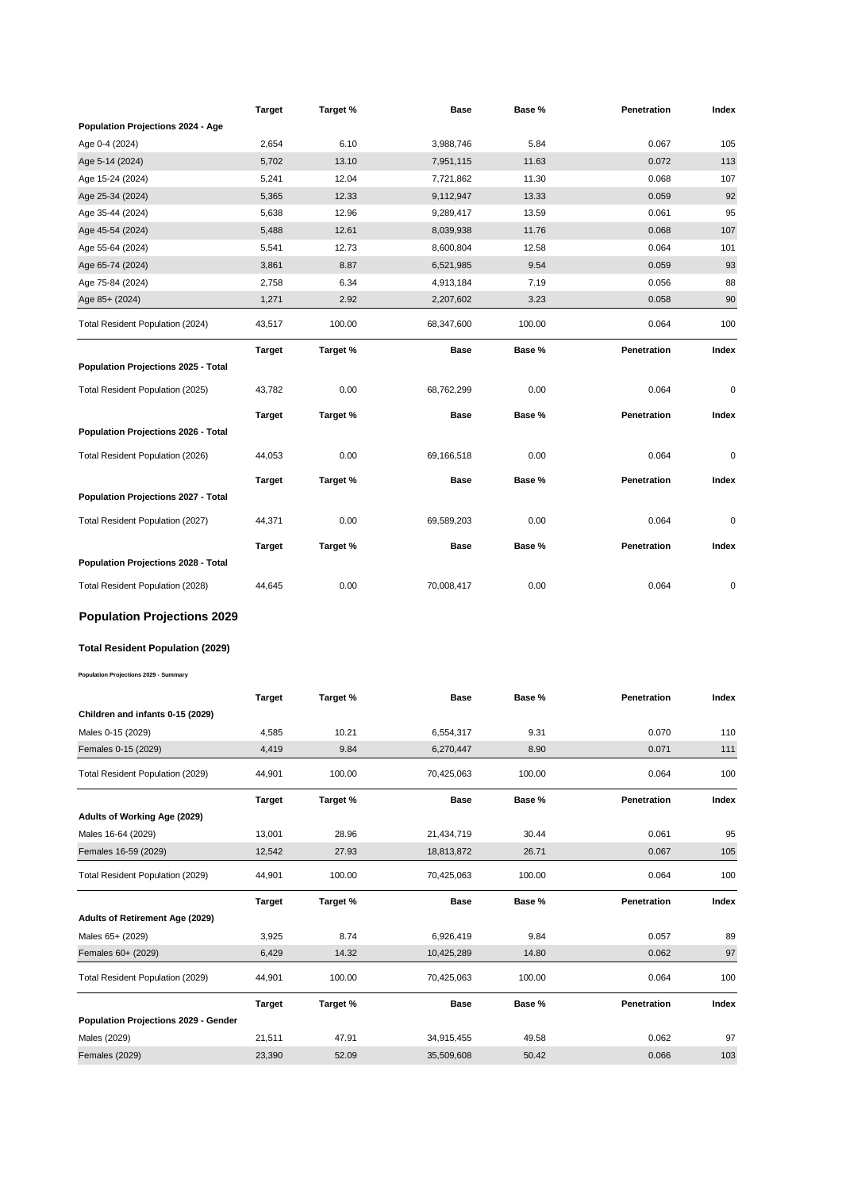|                                        | Target        | Target % | Base        | Base % | Penetration | Index |
|----------------------------------------|---------------|----------|-------------|--------|-------------|-------|
| Population Projections 2024 - Age      |               |          |             |        |             |       |
| Age 0-4 (2024)                         | 2,654         | 6.10     | 3,988,746   | 5.84   | 0.067       | 105   |
| Age 5-14 (2024)                        | 5,702         | 13.10    | 7,951,115   | 11.63  | 0.072       | 113   |
| Age 15-24 (2024)                       | 5,241         | 12.04    | 7,721,862   | 11.30  | 0.068       | 107   |
| Age 25-34 (2024)                       | 5,365         | 12.33    | 9,112,947   | 13.33  | 0.059       | 92    |
| Age 35-44 (2024)                       | 5,638         | 12.96    | 9,289,417   | 13.59  | 0.061       | 95    |
| Age 45-54 (2024)                       | 5,488         | 12.61    | 8,039,938   | 11.76  | 0.068       | 107   |
| Age 55-64 (2024)                       | 5,541         | 12.73    | 8,600,804   | 12.58  | 0.064       | 101   |
| Age 65-74 (2024)                       | 3,861         | 8.87     | 6,521,985   | 9.54   | 0.059       | 93    |
| Age 75-84 (2024)                       | 2,758         | 6.34     | 4,913,184   | 7.19   | 0.056       | 88    |
| Age 85+ (2024)                         | 1,271         | 2.92     | 2,207,602   | 3.23   | 0.058       | 90    |
| Total Resident Population (2024)       | 43,517        | 100.00   | 68,347,600  | 100.00 | 0.064       | 100   |
|                                        | Target        | Target % | <b>Base</b> | Base % | Penetration | Index |
| Population Projections 2025 - Total    |               |          |             |        |             |       |
| Total Resident Population (2025)       | 43,782        | 0.00     | 68,762,299  | 0.00   | 0.064       | 0     |
|                                        | <b>Target</b> | Target % | <b>Base</b> | Base % | Penetration | Index |
| Population Projections 2026 - Total    |               |          |             |        |             |       |
| Total Resident Population (2026)       | 44,053        | 0.00     | 69,166,518  | 0.00   | 0.064       | 0     |
|                                        | <b>Target</b> | Target % | Base        | Base % | Penetration | Index |
| Population Projections 2027 - Total    |               |          |             |        |             |       |
|                                        |               |          |             |        |             |       |
| Total Resident Population (2027)       | 44,371        | 0.00     | 69,589,203  | 0.00   | 0.064       | 0     |
|                                        | Target        | Target % | Base        | Base % | Penetration | Index |
| Population Projections 2028 - Total    |               |          |             |        |             |       |
| Total Resident Population (2028)       | 44,645        | 0.00     | 70,008,417  | 0.00   | 0.064       | 0     |
| <b>Population Projections 2029</b>     |               |          |             |        |             |       |
| Total Resident Population (2029)       |               |          |             |        |             |       |
| Population Projections 2029 - Summary  |               |          |             |        |             |       |
|                                        | <b>Target</b> | Target % | Base        | Base % | Penetration | Index |
| Children and infants 0-15 (2029)       |               |          |             |        |             |       |
| Males 0-15 (2029)                      | 4,585         | 10.21    | 6,554,317   | 9.31   | 0.070       | 110   |
| Females 0-15 (2029)                    | 4,419         | 9.84     | 6,270,447   | 8.90   | 0.071       | 111   |
| Total Resident Population (2029)       | 44,901        | 100.00   | 70,425,063  | 100.00 | 0.064       | 100   |
|                                        |               |          |             |        |             |       |
|                                        | <b>Target</b> | Target % | <b>Base</b> | Base % | Penetration | Index |
| Adults of Working Age (2029)           |               |          |             |        |             |       |
| Males 16-64 (2029)                     | 13,001        | 28.96    | 21,434,719  | 30.44  | 0.061       | 95    |
| Females 16-59 (2029)                   | 12,542        | 27.93    | 18,813,872  | 26.71  | 0.067       | 105   |
| Total Resident Population (2029)       | 44,901        | 100.00   | 70,425,063  | 100.00 | 0.064       | 100   |
|                                        | <b>Target</b> | Target % | <b>Base</b> | Base % | Penetration | Index |
| <b>Adults of Retirement Age (2029)</b> |               |          |             |        |             |       |
| Males 65+ (2029)                       | 3,925         | 8.74     | 6,926,419   | 9.84   | 0.057       | 89    |
| Females 60+ (2029)                     | 6,429         | 14.32    | 10,425,289  | 14.80  | 0.062       | 97    |
| Total Resident Population (2029)       | 44,901        | 100.00   | 70,425,063  | 100.00 | 0.064       | 100   |
|                                        | <b>Target</b> | Target % | Base        | Base % | Penetration | Index |
| Population Projections 2029 - Gender   |               |          |             |        |             |       |
| Males (2029)                           | 21,511        | 47.91    | 34,915,455  | 49.58  | 0.062       | 97    |
| Females (2029)                         | 23,390        | 52.09    | 35,509,608  | 50.42  | 0.066       | 103   |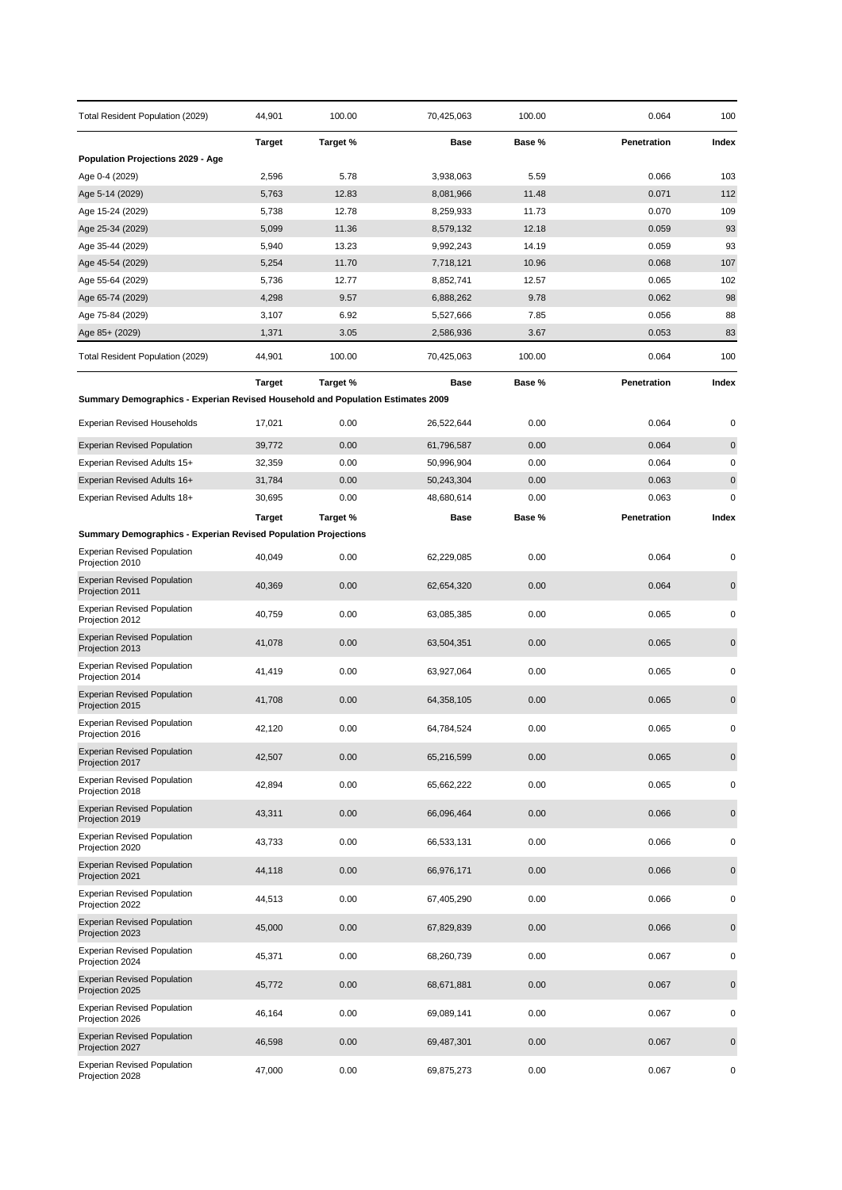| Total Resident Population (2029)                                                | 44,901         | 100.00         | 70,425,063             | 100.00         | 0.064          | 100         |
|---------------------------------------------------------------------------------|----------------|----------------|------------------------|----------------|----------------|-------------|
|                                                                                 | <b>Target</b>  | Target %       | Base                   | Base %         | Penetration    | Index       |
| Population Projections 2029 - Age                                               |                |                |                        |                |                |             |
| Age 0-4 (2029)                                                                  | 2,596          | 5.78           | 3,938,063              | 5.59           | 0.066          | 103         |
| Age 5-14 (2029)                                                                 | 5,763          | 12.83          | 8,081,966              | 11.48          | 0.071          | 112         |
| Age 15-24 (2029)                                                                | 5,738          | 12.78          | 8,259,933              | 11.73          | 0.070          | 109         |
| Age 25-34 (2029)<br>Age 35-44 (2029)                                            | 5,099<br>5,940 | 11.36<br>13.23 | 8,579,132<br>9,992,243 | 12.18<br>14.19 | 0.059<br>0.059 | 93<br>93    |
| Age 45-54 (2029)                                                                | 5,254          | 11.70          | 7,718,121              | 10.96          | 0.068          | 107         |
| Age 55-64 (2029)                                                                | 5,736          | 12.77          | 8,852,741              | 12.57          | 0.065          | 102         |
| Age 65-74 (2029)                                                                | 4,298          | 9.57           | 6,888,262              | 9.78           | 0.062          | 98          |
| Age 75-84 (2029)                                                                | 3,107          | 6.92           | 5,527,666              | 7.85           | 0.056          | 88          |
| Age 85+ (2029)                                                                  | 1,371          | 3.05           | 2,586,936              | 3.67           | 0.053          | 83          |
| Total Resident Population (2029)                                                | 44,901         | 100.00         | 70,425,063             | 100.00         | 0.064          | 100         |
|                                                                                 | Target         | Target %       | Base                   | Base %         | Penetration    | Index       |
| Summary Demographics - Experian Revised Household and Population Estimates 2009 |                |                |                        |                |                |             |
| <b>Experian Revised Households</b>                                              | 17,021         | 0.00           | 26,522,644             | 0.00           | 0.064          | 0           |
| <b>Experian Revised Population</b>                                              | 39,772         | 0.00           | 61,796,587             | 0.00           | 0.064          | 0           |
| Experian Revised Adults 15+                                                     | 32,359         | 0.00           | 50,996,904             | 0.00           | 0.064          | 0           |
| Experian Revised Adults 16+                                                     | 31,784         | 0.00           | 50,243,304             | 0.00           | 0.063          | $\pmb{0}$   |
| Experian Revised Adults 18+                                                     | 30,695         | 0.00           | 48,680,614             | 0.00           | 0.063          | 0           |
|                                                                                 | <b>Target</b>  | Target %       | Base                   | Base %         | Penetration    | Index       |
| <b>Summary Demographics - Experian Revised Population Projections</b>           |                |                |                        |                |                |             |
| <b>Experian Revised Population</b><br>Projection 2010                           | 40,049         | 0.00           | 62,229,085             | 0.00           | 0.064          | 0           |
| <b>Experian Revised Population</b><br>Projection 2011                           | 40,369         | 0.00           | 62,654,320             | 0.00           | 0.064          | 0           |
| <b>Experian Revised Population</b><br>Projection 2012                           | 40,759         | 0.00           | 63,085,385             | 0.00           | 0.065          | 0           |
| <b>Experian Revised Population</b><br>Projection 2013                           | 41,078         | 0.00           | 63,504,351             | 0.00           | 0.065          | $\pmb{0}$   |
| <b>Experian Revised Population</b><br>Projection 2014                           | 41,419         | 0.00           | 63,927,064             | 0.00           | 0.065          | 0           |
| <b>Experian Revised Population</b><br>Projection 2015                           | 41,708         | 0.00           | 64,358,105             | 0.00           | 0.065          | $\mathbf 0$ |
| <b>Experian Revised Population</b><br>Projection 2016                           | 42,120         | 0.00           | 64,784,524             | 0.00           | 0.065          | 0           |
| <b>Experian Revised Population</b><br>Projection 2017                           | 42,507         | 0.00           | 65,216,599             | 0.00           | 0.065          | $\pmb{0}$   |
| <b>Experian Revised Population</b><br>Projection 2018                           | 42,894         | 0.00           | 65,662,222             | 0.00           | 0.065          | 0           |
| <b>Experian Revised Population</b><br>Projection 2019                           | 43,311         | 0.00           | 66,096,464             | 0.00           | 0.066          | 0           |
| <b>Experian Revised Population</b><br>Projection 2020                           | 43,733         | 0.00           | 66,533,131             | 0.00           | 0.066          | 0           |
| <b>Experian Revised Population</b><br>Projection 2021                           | 44,118         | 0.00           | 66,976,171             | 0.00           | 0.066          | 0           |
| <b>Experian Revised Population</b><br>Projection 2022                           | 44,513         | 0.00           | 67,405,290             | 0.00           | 0.066          | 0           |
| <b>Experian Revised Population</b><br>Projection 2023                           | 45,000         | 0.00           | 67,829,839             | 0.00           | 0.066          | 0           |
| <b>Experian Revised Population</b><br>Projection 2024                           | 45,371         | 0.00           | 68,260,739             | 0.00           | 0.067          | 0           |
| <b>Experian Revised Population</b><br>Projection 2025                           | 45,772         | 0.00           | 68,671,881             | 0.00           | 0.067          | 0           |
| <b>Experian Revised Population</b><br>Projection 2026                           | 46,164         | 0.00           | 69,089,141             | 0.00           | 0.067          | 0           |
| <b>Experian Revised Population</b><br>Projection 2027                           | 46,598         | 0.00           | 69,487,301             | 0.00           | 0.067          | 0           |
| <b>Experian Revised Population</b><br>Projection 2028                           | 47,000         | 0.00           | 69,875,273             | 0.00           | 0.067          | 0           |